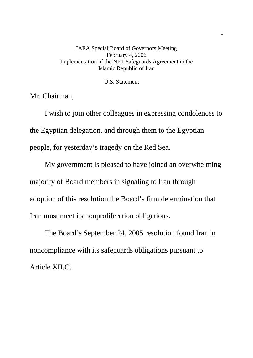## IAEA Special Board of Governors Meeting February 4, 2006 Implementation of the NPT Safeguards Agreement in the Islamic Republic of Iran

U.S. Statement

Mr. Chairman,

I wish to join other colleagues in expressing condolences to the Egyptian delegation, and through them to the Egyptian people, for yesterday's tragedy on the Red Sea.

My government is pleased to have joined an overwhelming majority of Board members in signaling to Iran through adoption of this resolution the Board's firm determination that Iran must meet its nonproliferation obligations.

The Board's September 24, 2005 resolution found Iran in noncompliance with its safeguards obligations pursuant to Article XII.C.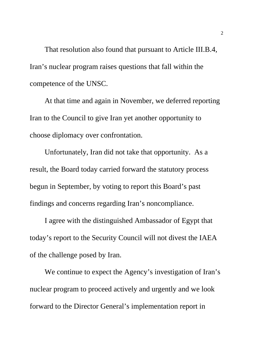That resolution also found that pursuant to Article III.B.4, Iran's nuclear program raises questions that fall within the competence of the UNSC.

At that time and again in November, we deferred reporting Iran to the Council to give Iran yet another opportunity to choose diplomacy over confrontation.

Unfortunately, Iran did not take that opportunity. As a result, the Board today carried forward the statutory process begun in September, by voting to report this Board's past findings and concerns regarding Iran's noncompliance.

I agree with the distinguished Ambassador of Egypt that today's report to the Security Council will not divest the IAEA of the challenge posed by Iran.

We continue to expect the Agency's investigation of Iran's nuclear program to proceed actively and urgently and we look forward to the Director General's implementation report in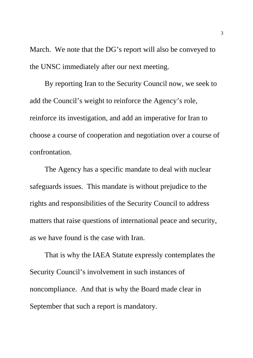March. We note that the DG's report will also be conveyed to the UNSC immediately after our next meeting.

By reporting Iran to the Security Council now, we seek to add the Council's weight to reinforce the Agency's role, reinforce its investigation, and add an imperative for Iran to choose a course of cooperation and negotiation over a course of confrontation.

The Agency has a specific mandate to deal with nuclear safeguards issues. This mandate is without prejudice to the rights and responsibilities of the Security Council to address matters that raise questions of international peace and security, as we have found is the case with Iran.

That is why the IAEA Statute expressly contemplates the Security Council's involvement in such instances of noncompliance. And that is why the Board made clear in September that such a report is mandatory.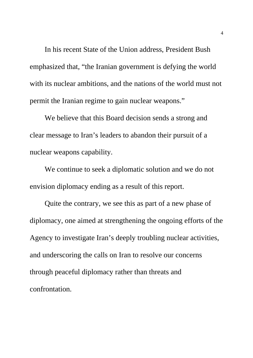In his recent State of the Union address, President Bush emphasized that, "the Iranian government is defying the world with its nuclear ambitions, and the nations of the world must not permit the Iranian regime to gain nuclear weapons."

We believe that this Board decision sends a strong and clear message to Iran's leaders to abandon their pursuit of a nuclear weapons capability.

We continue to seek a diplomatic solution and we do not envision diplomacy ending as a result of this report.

Quite the contrary, we see this as part of a new phase of diplomacy, one aimed at strengthening the ongoing efforts of the Agency to investigate Iran's deeply troubling nuclear activities, and underscoring the calls on Iran to resolve our concerns through peaceful diplomacy rather than threats and confrontation.